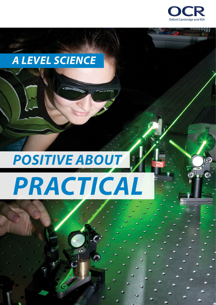

## *A LEVEL SCIENCE*

# *POSITIVE ABOUT* J. *PRACTICAL*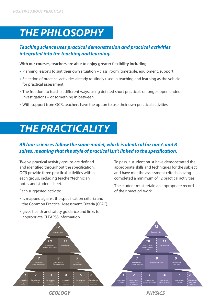## *THE PHILOSOPHY*

#### *Teaching science uses practical demonstration and practical activities integrated into the teaching and learning.*

#### **With our courses, teachers are able to enjoy greater flexibility including:**

- **•** Planning lessons to suit their own situation class, room, timetable, equipment, support.
- **•** Selection of practical activities already routinely used in teaching and learning as the vehicle for practical assessment.
- **•** The freedom to teach in different ways, using defined short practicals or longer, open ended investigations – or something in between.
- **•** With support from OCR, teachers have the option to use their own practical activities

### *THE PRACTICALITY*

#### *All four sciences follow the same model, which is identical for our A and B suites, meaning that the style of practical isn't linked to the specification.*

Twelve practical activity groups are defined and identified throughout the specification. OCR provide three practical activities within each group, including teacher/technician notes and student sheet.

To pass, a student must have demonstrated the appropriate skills and techniques for the subject and have met the assessment criteria, having completed a minimum of 12 practical activities.

The student must retain an appropriate record of their practical work.

Each suggested activity:

- **•** is mapped against the specification criteria and the Common Practical Assessment Criteria (CPAC).
- **•** gives health and safety guidance and links to appropriate CLEAPSS information.

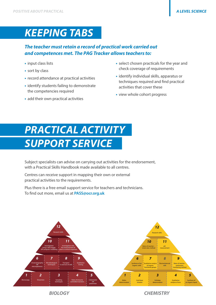### *KEEPING TABS*

#### *The teacher must retain a record of practical work carried out and competences met. The PAG Tracker allows teachers to:*

- **•** input class lists
- **•** sort by class
- **•** record attendance at practical activities
- **•** identify students failing to demonstrate the competencies required
- **•** add their own practical activities
- **•** select chosen practicals for the year and check coverage of requirements
- identify individual skills, apparatus or techniques required and find practical activities that cover these
- **•** view whole cohort progress

## *PRACTICAL ACTIVITY SUPPORT SERVICE*

Subject specialists can advise on carrying out activities for the endorsement, with a Practical Skills Handbook made available to all centres.

Centres can receive support in mapping their own or external practical activities to the requirements.

Plus there is a free email support service for teachers and technicians. To find out more, email us at **[PASS@ocr.org.uk](mailto:PASS%40ocr.org.uk?subject=)**





*BIOLOGY CHEMISTRY*